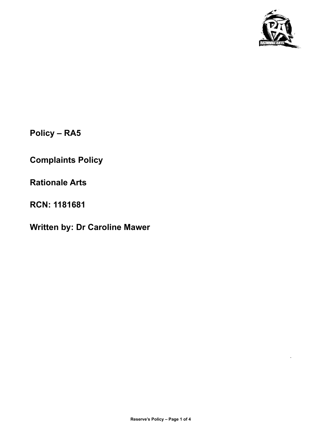

.

**Policy – RA5**

**Complaints Policy**

**Rationale Arts**

**RCN: 1181681**

**Written by: Dr Caroline Mawer**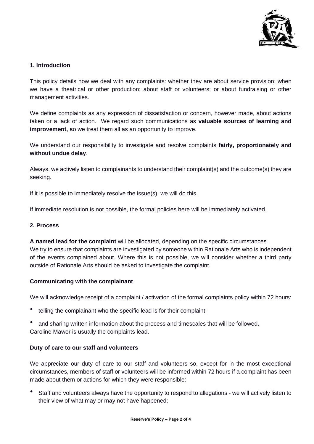

# **1. Introduction**

This policy details how we deal with any complaints: whether they are about service provision; when we have a theatrical or other production; about staff or volunteers; or about fundraising or other management activities.

We define complaints as any expression of dissatisfaction or concern, however made, about actions taken or a lack of action. We regard such communications as **valuable sources of learning and improvement, s**o we treat them all as an opportunity to improve.

We understand our responsibility to investigate and resolve complaints **fairly, proportionately and without undue delay**.

Always, we actively listen to complainants to understand their complaint(s) and the outcome(s) they are seeking.

If it is possible to immediately resolve the issue(s), we will do this.

If immediate resolution is not possible, the formal policies here will be immediately activated.

### **2. Process**

**A named lead for the complaint** will be allocated, depending on the specific circumstances. We try to ensure that complaints are investigated by someone within Rationale Arts who is independent of the events complained about. Where this is not possible, we will consider whether a third party outside of Rationale Arts should be asked to investigate the complaint.

### **Communicating with the complainant**

We will acknowledge receipt of a complaint / activation of the formal complaints policy within 72 hours:

- telling the complainant who the specific lead is for their complaint;
- and sharing written information about the process and timescales that will be followed. Caroline Mawer is usually the complaints lead.

### **Duty of care to our staff and volunteers**

We appreciate our duty of care to our staff and volunteers so, except for in the most exceptional circumstances, members of staff or volunteers will be informed within 72 hours if a complaint has been made about them or actions for which they were responsible:

• Staff and volunteers always have the opportunity to respond to allegations - we will actively listen to their view of what may or may not have happened;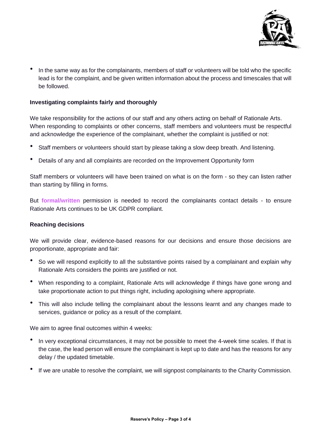

• In the same way as for the complainants, members of staff or volunteers will be told who the specific lead is for the complaint, and be given written information about the process and timescales that will be followed.

# **Investigating complaints fairly and thoroughly**

We take responsibility for the actions of our staff and any others acting on behalf of Rationale Arts. When responding to complaints or other concerns, staff members and volunteers must be respectful and acknowledge the experience of the complainant, whether the complaint is justified or not:

- Staff members or volunteers should start by please taking a slow deep breath. And listening.
- Details of any and all complaints are recorded on the Improvement Opportunity form

Staff members or volunteers will have been trained on what is on the form - so they can listen rather than starting by filling in forms.

But **formal/written** permission is needed to record the complainants contact details - to ensure Rationale Arts continues to be UK GDPR compliant.

### **Reaching decisions**

We will provide clear, evidence-based reasons for our decisions and ensure those decisions are proportionate, appropriate and fair:

- So we will respond explicitly to all the substantive points raised by a complainant and explain why Rationale Arts considers the points are justified or not.
- When responding to a complaint, Rationale Arts will acknowledge if things have gone wrong and take proportionate action to put things right, including apologising where appropriate.
- This will also include telling the complainant about the lessons learnt and any changes made to services, guidance or policy as a result of the complaint.

We aim to agree final outcomes within 4 weeks:

- In very exceptional circumstances, it may not be possible to meet the 4-week time scales. If that is the case, the lead person will ensure the complainant is kept up to date and has the reasons for any delay / the updated timetable.
- If we are unable to resolve the complaint, we will signpost complainants to the Charity Commission.